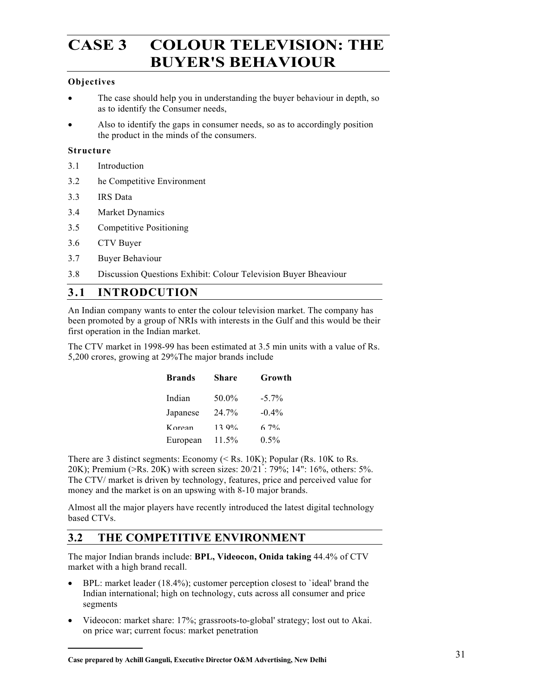# **CASE 3 COLOUR TELEVISION: THE BUYER'S BEHAVIOUR**

#### **Objectives**

- The case should help you in understanding the buyer behaviour in depth, so as to identify the Consumer needs,
- Also to identify the gaps in consumer needs, so as to accordingly position the product in the minds of the consumers.

#### **Structure**

- 3.1 Introduction
- 3.2 he Competitive Environment
- 3.3 IRS Data
- 3.4 Market Dynamics
- 3.5 Competitive Positioning
- 3.6 CTV Buyer
- 3.7 Buyer Behaviour
- 3.8 Discussion Questions Exhibit: Colour Television Buyer Bheaviour

## **3.1 INTRODCUTION**

An Indian company wants to enter the colour television market. The company has been promoted by a group of NRIs with interests in the Gulf and this would be their first operation in the Indian market.

The CTV market in 1998-99 has been estimated at 3.5 min units with a value of Rs. 5,200 crores, growing at 29%The major brands include

| Brands   | Share | Growth   |
|----------|-------|----------|
| Indian   | 50.0% | $-5.7\%$ |
| Japanese | 24.7% | $-0.4%$  |
| K orean  | 13.9% | $6.7\%$  |
| European | 11.5% | $0.5\%$  |

There are 3 distinct segments: Economy (< Rs. 10K); Popular (Rs. 10K to Rs. 20K); Premium (>Rs. 20K) with screen sizes: 20/21" : 79%; 14": 16%, others: 5%. The CTV/ market is driven by technology, features, price and perceived value for money and the market is on an upswing with 8-10 major brands.

Almost all the major players have recently introduced the latest digital technology based CTVs.

## **3.2 THE COMPETITIVE ENVIRONMENT**

The major Indian brands include: **BPL, Videocon, Onida taking** 44.4% of CTV market with a high brand recall.

- BPL: market leader (18.4%); customer perception closest to 'ideal' brand the Indian international; high on technology, cuts across all consumer and price segments
- Videocon: market share: 17%; grassroots-to-global' strategy; lost out to Akai. on price war; current focus: market penetration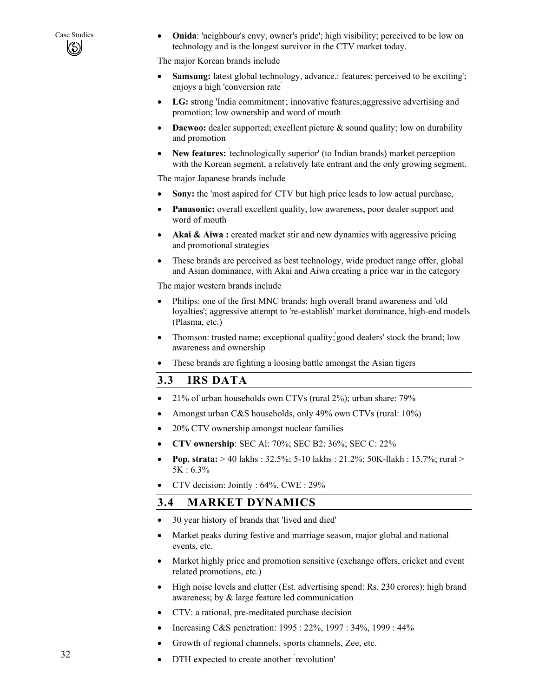Case Studies • **Onida**: 'neighbour's envy, owner's pride'; high visibility; perceived to be low on technology and is the longest survivor in the CTV market today. technology and is the longest survivor in the CTV market today.

The major Korean brands include

- **Samsung:** latest global technology, advance.: features; perceived to be exciting'; enjoys a high 'conversion rate'
- **LG:** strong 'India commitment' ; innovative features;aggressive advertising and promotion; low ownership and word of mouth
- **Daewoo:** dealer supported; excellent picture & sound quality; low on durability and promotion
- New features: technologically superior' (to Indian brands) market perception with the Korean segment, a relatively late entrant and the only growing segment.

The major Japanese brands include

- **Sony:** the 'most aspired for' CTV but high price leads to low actual purchase,
- **Panasonic:** overall excellent quality, low awareness, poor dealer support and word of mouth
- **Akai & Aiwa :** created market stir and new dynamics with aggressive pricing and promotional strategies
- These brands are perceived as best technology, wide product range offer, global and Asian dominance, with Akai and Aiwa creating a price war in the category

The major western brands include

- Philips: one of the first MNC brands; high overall brand awareness and 'old loyalties'; aggressive attempt to 're-establish' market dominance, high-end models (Plasma, etc.)
- Thomson: trusted name; exceptional quality; good dealers' stock the brand; low awareness and ownership
- These brands are fighting a loosing battle amongst the Asian tigers

## **3.3 IRS DATA**

- 21% of urban households own CTVs (rural 2%); urban share: 79%
- Amongst urban C&S households, only 49% own CTVs (rural: 10%)
- 20% CTV ownership amongst nuclear families
- **CTV ownership**: SEC Al: 70%; SEC B2: 36%; SEC C: 22%
- **Pop. strata:** > 40 lakhs : 32.5%; 5-10 lakhs : 21.2%; 50K-llakh : 15.7%; rural > 5K : 6.3%
- CTV decision: Jointly : 64%, CWE : 29%

## **3.4 MARKET DYNAMICS**

- 30 year history of brands that 'lived and died'
- Market peaks during festive and marriage season, major global and national events, etc.
- Market highly price and promotion sensitive (exchange offers, cricket and event related promotions, etc.)
- High noise levels and clutter (Est. advertising spend: Rs. 230 crores); high brand awareness; by & large feature led communication
- CTV: a rational, pre-meditated purchase decision
- Increasing C&S penetration: 1995 : 22%, 1997 : 34%, 1999 : 44%
- Growth of regional channels, sports channels, Zee, etc.
- DTH expected to create another ` revolution'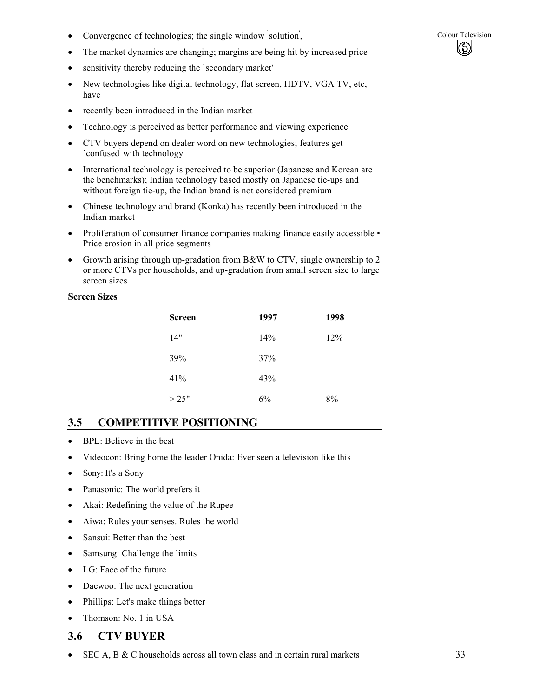- Convergence of technologies; the single window solution, Colour Television
- The market dynamics are changing; margins are being hit by increased price
- sensitivity thereby reducing the `secondary market'
- New technologies like digital technology, flat screen, HDTV, VGA TV, etc, have
- recently been introduced in the Indian market
- Technology is perceived as better performance and viewing experience
- CTV buyers depend on dealer word on new technologies; features get `confused' with technology
- International technology is perceived to be superior (Japanese and Korean are the benchmarks); Indian technology based mostly on Japanese tie-ups and without foreign tie-up, the Indian brand is not considered premium
- Chinese technology and brand (Konka) has recently been introduced in the Indian market
- Proliferation of consumer finance companies making finance easily accessible Price erosion in all price segments
- Growth arising through up-gradation from B&W to CTV, single ownership to 2 or more CTVs per households, and up-gradation from small screen size to large screen sizes

#### **Screen Sizes**

| <b>Screen</b> | 1997 | 1998 |
|---------------|------|------|
| 14"           | 14%  | 12%  |
| 39%           | 37%  |      |
| 41%           | 43%  |      |
| >25"          | 6%   | 8%   |

## **3.5 COMPETITIVE POSITIONING**

- BPL: Believe in the best
- Videocon: Bring home the leader Onida: Ever seen a television like this
- Sony: It's a Sony
- Panasonic: The world prefers it
- Akai: Redefining the value of the Rupee
- Aiwa: Rules your senses. Rules the world
- Sansui: Better than the best
- Samsung: Challenge the limits
- LG: Face of the future
- Daewoo: The next generation
- Phillips: Let's make things better
- Thomson: No. 1 in USA

## **3.6 CTV BUYER**

• SEC A, B & C households across all town class and in certain rural markets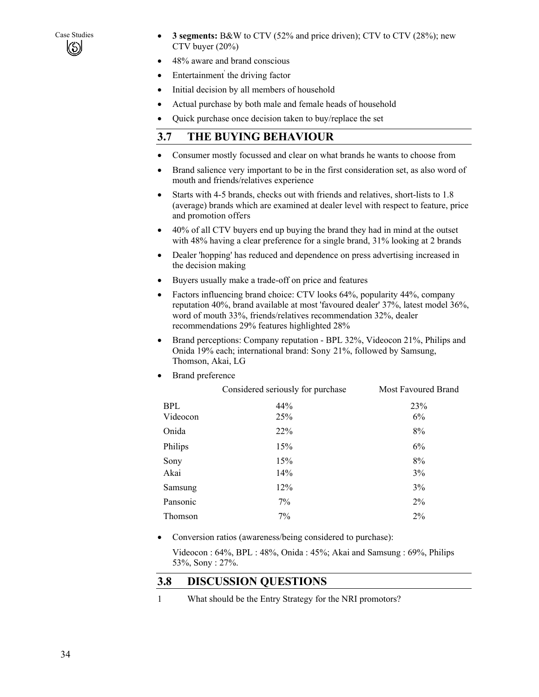

- Case Studies **3 segments:** B&W to CTV (52% and price driven); CTV to CTV (28%); new CTV buyer (20%)
	- 48% aware and brand conscious
	- Entertainment the driving factor
	- Initial decision by all members of household
	- Actual purchase by both male and female heads of household
	- Quick purchase once decision taken to buy/replace the set

## **3.7 THE BUYING BEHAVIOUR**

- Consumer mostly focussed and clear on what brands he wants to choose from
- Brand salience very important to be in the first consideration set, as also word of mouth and friends/relatives experience
- Starts with 4-5 brands, checks out with friends and relatives, short-lists to 1.8 (average) brands which are examined at dealer level with respect to feature, price and promotion offers
- 40% of all CTV buyers end up buying the brand they had in mind at the outset with 48% having a clear preference for a single brand, 31% looking at 2 brands
- Dealer 'hopping' has reduced and dependence on press advertising increased in the decision making
- Buyers usually make a trade-off on price and features
- Factors influencing brand choice: CTV looks 64%, popularity 44%, company reputation 40%, brand available at most 'favoured dealer' 37%, latest model 36%, word of mouth 33%, friends/relatives recommendation 32%, dealer recommendations 29% features highlighted 28%
- Brand perceptions: Company reputation BPL 32%, Videocon 21%, Philips and Onida 19% each; international brand: Sony 21%, followed by Samsung, Thomson, Akai, LG
- Brand preference

|            | Considered seriously for purchase | Most Favoured Brand |
|------------|-----------------------------------|---------------------|
| <b>BPL</b> | 44%                               | 23%                 |
| Videocon   | 25%                               | 6%                  |
| Onida      | 22%                               | 8%                  |
| Philips    | 15%                               | 6%                  |
| Sony       | 15%                               | 8%                  |
| Akai       | 14%                               | 3%                  |
| Samsung    | 12%                               | 3%                  |
| Pansonic   | 7%                                | $2\%$               |
| Thomson    | 7%                                | 2%                  |

• Conversion ratios (awareness/being considered to purchase):

Videocon : 64%, BPL : 48%, Onida : 45%; Akai and Samsung : 69%, Philips 53%, Sony : 27%.

## **3.8 DISCUSSION QUESTIONS**

1 What should be the Entry Strategy for the NRI promotors?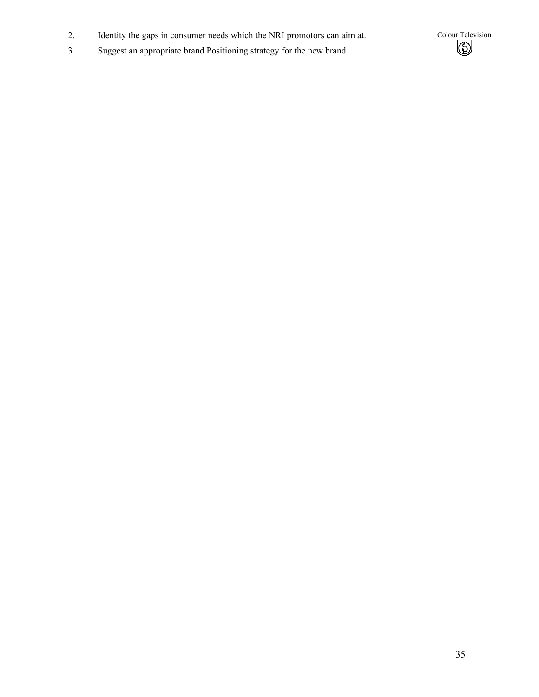- 2. Identity the gaps in consumer needs which the NRI promotors can aim at. Colour Television<br>3 Suggest an appropriate brand Positioning strategy for the new brand ( $\bigotimes$
- 3 Suggest an appropriate brand Positioning strategy for the new brand

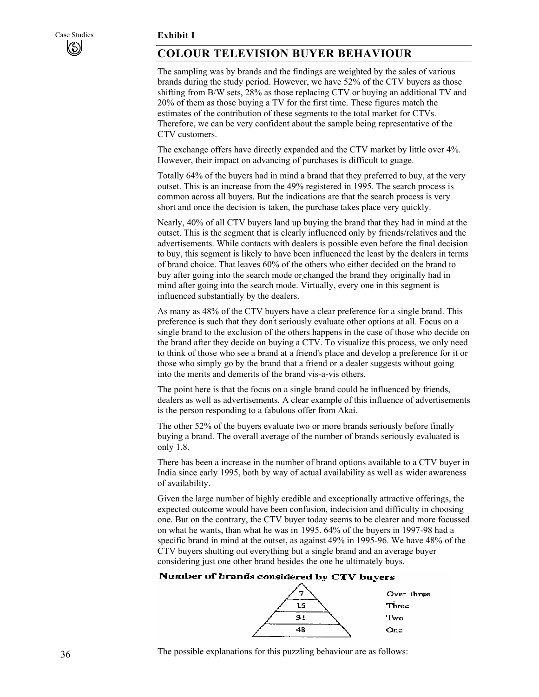## **COLOUR TELEVISION BUYER BEHAVIOUR**

The sampling was by brands and the findings are weighted by the sales of various brands during the study period. However, we have 52% of the CTV buyers as those shifting from B/W sets, 28% as those replacing CTV or buying an additional TV and 20% of them as those buying a TV for the first time. These figures match the estimates of the contribution of these segments to the total market for CTVs. Therefore, we can be very confident about the sample being representative of the CTV customers.

The exchange offers have directly expanded and the CTV market by little over 4%. However, their impact on advancing of purchases is difficult to guage.

Totally 64% of the buyers had in mind a brand that they preferred to buy, at the very outset. This is an increase from the 49% registered in 1995. The search process is common across all buyers. But the indications are that the search process is very short and once the decision is taken, the purchase takes place very quickly.

Nearly, 40% of all CTV buyers land up buying the brand that they had in mind at the outset. This is the segment that is clearly influenced only by friends/relatives and the advertisements. While contacts with dealers is possible even before the final decision to buy, this segment is likely to have been influenced the least by the dealers in terms of brand choice. That leaves 60% of the others who either decided on the brand to buy after going into the search mode or changed the brand they originally had in mind after going into the search mode. Virtually, every one in this segment is influenced substantially by the dealers.

As many as 48% of the CTV buyers have a clear preference for a single brand. This preference is such that they don't seriously evaluate other options at all. Focus on a single brand to the exclusion of the others happens in the case of those who decide on the brand after they decide on buying a CTV. To visualize this process, we only need to think of those who see a brand at a friend's place and develop a preference for it or those who simply go by the brand that a friend or a dealer suggests without going into the merits and demerits of the brand vis-a-vis others.

The point here is that the focus on a single brand could be influenced by friends, dealers as well as advertisements. A clear example of this influence of advertisements is the person responding to a fabulous offer from Akai.

The other 52% of the buyers evaluate two or more brands seriously before finally buying a brand. The overall average of the number of brands seriously evaluated is only 1.8.

There has been a increase in the number of brand options available to a CTV buyer in India since early 1995, both by way of actual availability as well as wider awareness of availability.

Given the large number of highly credible and exceptionally attractive offerings, the expected outcome would have been confusion, indecision and difficulty in choosing one. But on the contrary, the CTV buyer today seems to be clearer and more focussed on what he wants, than what he was in 1995. 64% of the buyers in 1997-98 had a specific brand in mind at the outset, as against 49% in 1995-96. We have 48% of the CTV buyers shutting out everything but a single brand and an average buyer considering just one other brand besides the one he ultimately buys.

#### Number of brands considered by CTV buyers



The possible explanations for this puzzling behaviour are as follows: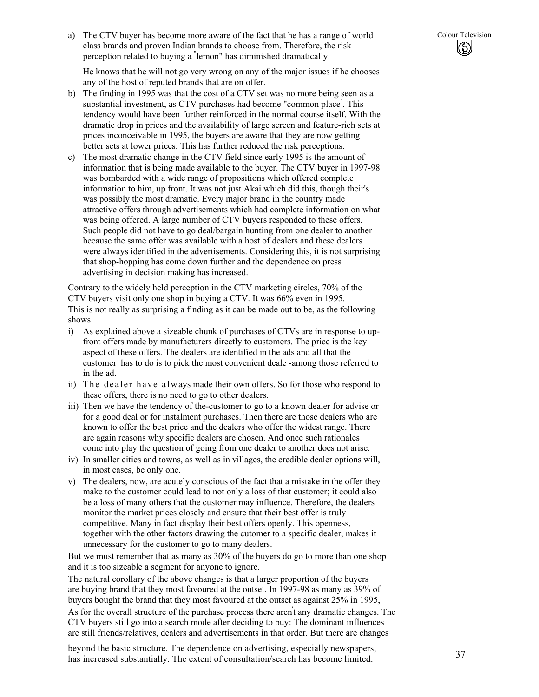a) The CTV buyer has become more aware of the fact that he has a range of world Colour Television class brands and proven Indian brands to choose from. Therefore, the risk perception related to buying a " lemon" has diminished dramatically.

 He knows that he will not go very wrong on any of the major issues if he chooses any of the host of reputed brands that are on offer.

- b) The finding in 1995 was that the cost of a CTV set was no more being seen as a substantial investment, as CTV purchases had become "common place" . This tendency would have been further reinforced in the normal course itself. With the dramatic drop in prices and the availability of large screen and feature-rich sets at prices inconceivable in 1995, the buyers are aware that they are now getting better sets at lower prices. This has further reduced the risk perceptions.
- c) The most dramatic change in the CTV field since early 1995 is the amount of information that is being made available to the buyer. The CTV buyer in 1997-98 was bombarded with a wide range of propositions which offered complete information to him, up front. It was not just Akai which did this, though their's was possibly the most dramatic. Every major brand in the country made attractive offers through advertisements which had complete information on what was being offered. A large number of CTV buyers responded to these offers. Such people did not have to go deal/bargain hunting from one dealer to another because the same offer was available with a host of dealers and these dealers were always identified in the advertisements. Considering this, it is not surprising that shop-hopping has come down further and the dependence on press advertising in decision making has increased.

Contrary to the widely held perception in the CTV marketing circles, 70% of the CTV buyers visit only one shop in buying a CTV. It was 66% even in 1995. This is not really as surprising a finding as it can be made out to be, as the following shows.

- i) As explained above a sizeable chunk of purchases of CTVs are in response to upfront offers made by manufacturers directly to customers. The price is the key aspect of these offers. The dealers are identified in the ads and all that the customer has to do is to pick the most convenient deale -among those referred to in the ad.
- ii) The dealer have always made their own offers. So for those who respond to these offers, there is no need to go to other dealers.
- iii) Then we have the tendency of the-customer to go to a known dealer for advise or for a good deal or for instalment purchases. Then there are those dealers who are known to offer the best price and the dealers who offer the widest range. There are again reasons why specific dealers are chosen. And once such rationales come into play the question of going from one dealer to another does not arise.
- iv) In smaller cities and towns, as well as in villages, the credible dealer options will, in most cases, be only one.
- v) The dealers, now, are acutely conscious of the fact that a mistake in the offer they make to the customer could lead to not only a loss of that customer; it could also be a loss of many others that the customer may influence. Therefore, the dealers monitor the market prices closely and ensure that their best offer is truly competitive. Many in fact display their best offers openly. This openness, together with the other factors drawing the cutomer to a specific dealer, makes it unnecessary for the customer to go to many dealers.

But we must remember that as many as 30% of the buyers do go to more than one shop and it is too sizeable a segment for anyone to ignore.

The natural corollary of the above changes is that a larger proportion of the buyers are buying brand that they most favoured at the outset. In 1997-98 as many as 39% of buyers bought the brand that they most favoured at the outset as against 25% in 1995,

As for the overall structure of the purchase process there aren't any dramatic changes. The CTV buyers still go into a search mode after deciding to buy: The dominant influences are still friends/relatives, dealers and advertisements in that order. But there are changes

beyond the basic structure. The dependence on advertising, especially newspapers, has increased substantially. The extent of consultation/search has become limited.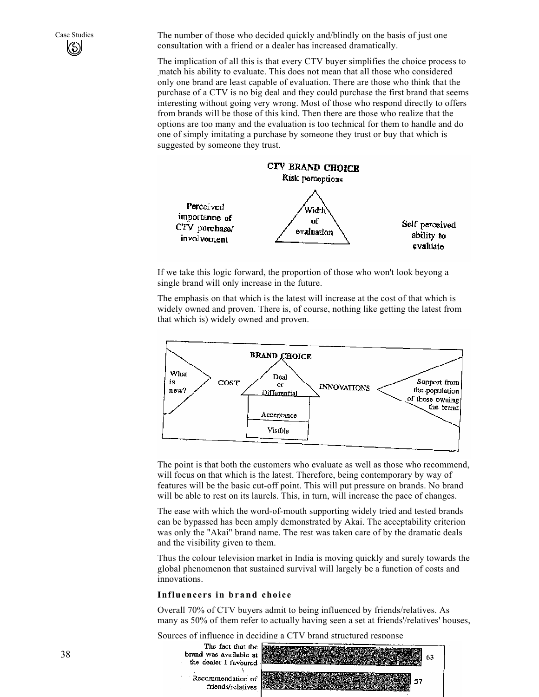$\left(\mathcal{S}\right)$ 

Case Studies The number of those who decided quickly and/blindly on the basis of just one consultation with a friend or a dealer has increased dramatically.

> The implication of all this is that every CTV buyer simplifies the choice process to match his ability to evaluate. This does not mean that all those who considered only one brand are least capable of evaluation. There are those who think that the purchase of a CTV is no big deal and they could purchase the first brand that seems interesting without going very wrong. Most of those who respond directly to offers from brands will be those of this kind. Then there are those who realize that the options are too many and the evaluation is too technical for them to handle and do one of simply imitating a purchase by someone they trust or buy that which is suggested by someone they trust.



If we take this logic forward, the proportion of those who won't look beyong a single brand will only increase in the future.

The emphasis on that which is the latest will increase at the cost of that which is widely owned and proven. There is, of course, nothing like getting the latest from that which is) widely owned and proven.



The point is that both the customers who evaluate as well as those who recommend, will focus on that which is the latest. Therefore, being contemporary by way of features will be the basic cut-off point. This will put pressure on brands. No brand will be able to rest on its laurels. This, in turn, will increase the pace of changes.

The ease with which the word-of-mouth supporting widely tried and tested brands can be bypassed has been amply demonstrated by Akai. The acceptability criterion was only the "Akai" brand name. The rest was taken care of by the dramatic deals and the visibility given to them.

Thus the colour television market in India is moving quickly and surely towards the global phenomenon that sustained survival will largely be a function of costs and innovations.

#### **Influencers in brand choice**

Overall 70% of CTV buyers admit to being influenced by friends/relatives. As many as 50% of them refer to actually having seen a set at friends'/relatives' houses,

Sources of influence in deciding a CTV brand structured response

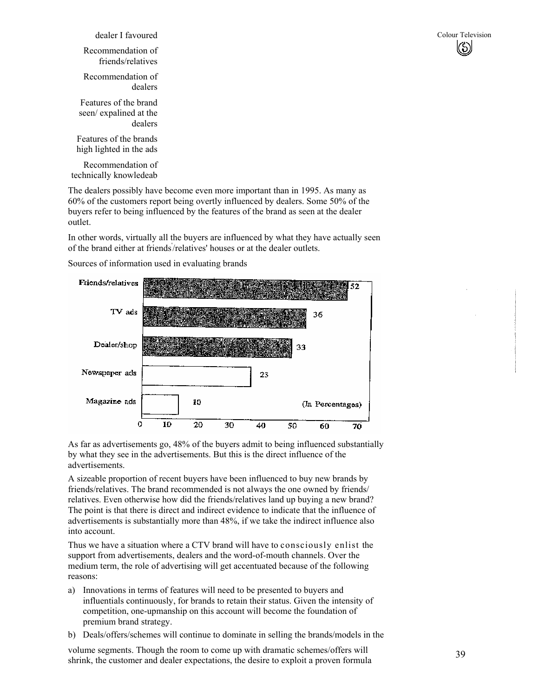| dealer I favoured                                         |
|-----------------------------------------------------------|
| Recommendation of<br>friends/relatives                    |
| Recommendation of<br>dealers                              |
| Features of the brand<br>seen/expalined at the<br>dealers |
| Features of the brands<br>high lighted in the ads         |
| Recommendation of                                         |

technically knowledeab

The dealers possibly have become even more important than in 1995. As many as 60% of the customers report being overtly influenced by dealers. Some 50% of the buyers refer to being influenced by the features of the brand as seen at the dealer outlet.

In other words, virtually all the buyers are influenced by what they have actually seen of the brand either at friends' /relatives' houses or at the dealer outlets.

Sources of information used in evaluating brands



As far as advertisements go, 48% of the buyers admit to being influenced substantially by what they see in the advertisements. But this is the direct influence of the advertisements.

A sizeable proportion of recent buyers have been influenced to buy new brands by friends/relatives. The brand recommended is not always the one owned by friends/ relatives. Even otherwise how did the friends/relatives land up buying a new brand? The point is that there is direct and indirect evidence to indicate that the influence of advertisements is substantially more than 48%, if we take the indirect influence also into account.

Thus we have a situation where a CTV brand will have to consciously enlist the support from advertisements, dealers and the word-of-mouth channels. Over the medium term, the role of advertising will get accentuated because of the following reasons:

- a) Innovations in terms of features will need to be presented to buyers and influentials continuously, for brands to retain their status. Given the intensity of competition, one-upmanship on this account will become the foundation of premium brand strategy.
- b) Deals/offers/schemes will continue to dominate in selling the brands/models in the

volume segments. Though the room to come up with dramatic schemes/offers will shrink, the customer and dealer expectations, the desire to exploit a proven formula

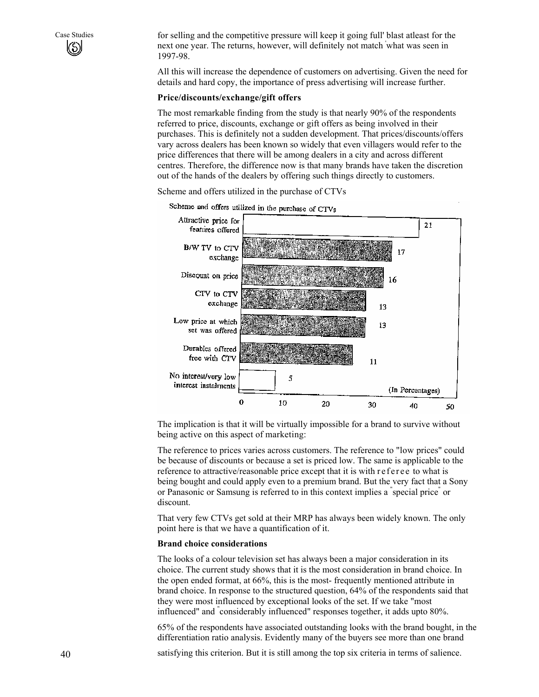Case Studies for selling and the competitive pressure will keep it going full' blast atleast for the next one year. The returns, however, will definitely not match ' what was seen in 1997-98.

> All this will increase the dependence of customers on advertising. Given the need for details and hard copy, the importance of press advertising will increase further.

#### **Price/discounts/exchange/gift offers**

The most remarkable finding from the study is that nearly 90% of the respondents referred to price, discounts, exchange or gift offers as being involved in their purchases. This is definitely not a sudden development. That prices/discounts/offers vary across dealers has been known so widely that even villagers would refer to the price differences that there will be among dealers in a city and across different centres. Therefore, the difference now is that many brands have taken the discretion out of the hands of the dealers by offering such things directly to customers.

Scheme and offers utilized in the purchase of CTVs



The implication is that it will be virtually impossible for a brand to survive without being active on this aspect of marketing:

The reference to prices varies across customers. The reference to "low prices" could be because of discounts or because a set is priced low. The same is applicable to the reference to attractive/reasonable price except that it is with r ef er ee to what is being bought and could apply even to a premium brand. But the very fact that a Sony or Panasonic or Samsung is referred to in this context implies a " special price" or discount.

That very few CTVs get sold at their MRP has always been widely known. The only point here is that we have a quantification of it.

#### **Brand choice considerations**

The looks of a colour television set has always been a major consideration in its choice. The current study shows that it is the most consideration in brand choice. In the open ended format, at 66%, this is the most- frequently mentioned attribute in brand choice. In response to the structured question, 64% of the respondents said that they were most influenced by exceptional looks of the set. If we take "most influenced" and " considerably influenced" responses together, it adds upto 80%.

65% of the respondents have associated outstanding looks with the brand bought, in the differentiation ratio analysis. Evidently many of the buyers see more than one brand

satisfying this criterion. But it is still among the top six criteria in terms of salience.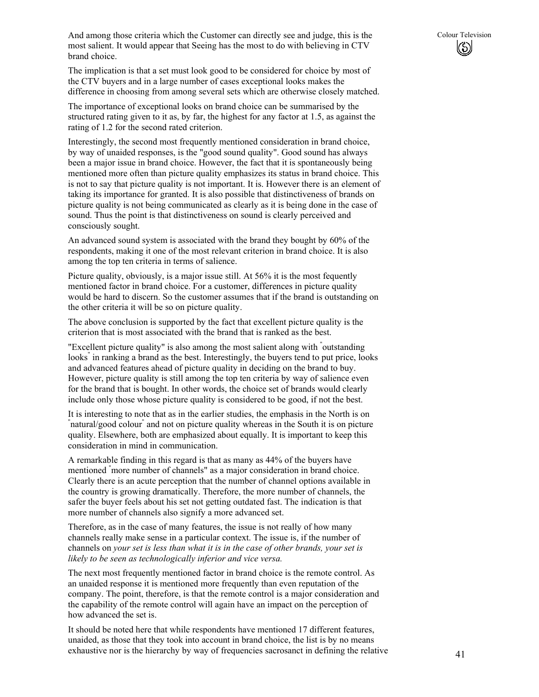And among those criteria which the Customer can directly see and judge, this is the Colour Television most salient. It would appear that Seeing has the most to do with believing in CTV brand choice.

The implication is that a set must look good to be considered for choice by most of the CTV buyers and in a large number of cases exceptional looks makes the difference in choosing from among several sets which are otherwise closely matched.

The importance of exceptional looks on brand choice can be summarised by the structured rating given to it as, by far, the highest for any factor at 1.5, as against the rating of 1.2 for the second rated criterion.

Interestingly, the second most frequently mentioned consideration in brand choice, by way of unaided responses, is the "good sound quality". Good sound has always been a major issue in brand choice. However, the fact that it is spontaneously being mentioned more often than picture quality emphasizes its status in brand choice. This is not to say that picture quality is not important. It is. However there is an element of taking its importance for granted. It is also possible that distinctiveness of brands on picture quality is not being communicated as clearly as it is being done in the case of sound. Thus the point is that distinctiveness on sound is clearly perceived and consciously sought.

An advanced sound system is associated with the brand they bought by 60% of the respondents, making it one of the most relevant criterion in brand choice. It is also among the top ten criteria in terms of salience.

Picture quality, obviously, is a major issue still. At 56% it is the most fequently mentioned factor in brand choice. For a customer, differences in picture quality would be hard to discern. So the customer assumes that if the brand is outstanding on the other criteria it will be so on picture quality.

The above conclusion is supported by the fact that excellent picture quality is the criterion that is most associated with the brand that is ranked as the best.

"Excellent picture quality" is also among the most salient along with " outstanding looks" in ranking a brand as the best. Interestingly, the buyers tend to put price, looks and advanced features ahead of picture quality in deciding on the brand to buy. However, picture quality is still among the top ten criteria by way of salience even for the brand that is bought. In other words, the choice set of brands would clearly include only those whose picture quality is considered to be good, if not the best.

It is interesting to note that as in the earlier studies, the emphasis in the North is on " natural/good colour" and not on picture quality whereas in the South it is on picture quality. Elsewhere, both are emphasized about equally. It is important to keep this consideration in mind in communication.

A remarkable finding in this regard is that as many as 44% of the buyers have mentioned " more number of channels" as a major consideration in brand choice. Clearly there is an acute perception that the number of channel options available in the country is growing dramatically. Therefore, the more number of channels, the safer the buyer feels about his set not getting outdated fast. The indication is that more number of channels also signify a more advanced set.

Therefore, as in the case of many features, the issue is not really of how many channels really make sense in a particular context. The issue is, if the number of channels on *your set is less than what it is in the case of other brands, your set is likely to be seen as technologically inferior and vice versa.* 

The next most frequently mentioned factor in brand choice is the remote control. As an unaided response it is mentioned more frequently than even reputation of the company. The point, therefore, is that the remote control is a major consideration and the capability of the remote control will again have an impact on the perception of how advanced the set is.

It should be noted here that while respondents have mentioned 17 different features, unaided, as those that they took into account in brand choice, the list is by no means exhaustive nor is the hierarchy by way of frequencies sacrosanct in defining the relative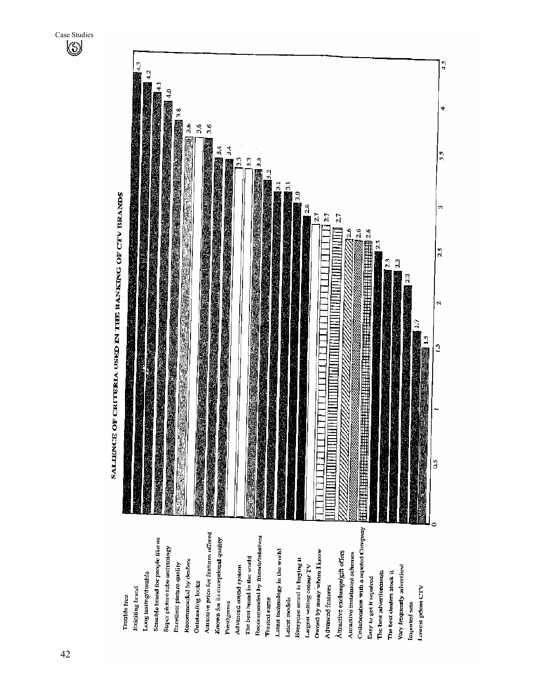

SALTENCE OF CRITERIA USED IN THE RANKING OF CTV BRANDS

Case Studies

Collaboration with a reputed Company Altractive price for features offered Recommended by friends/relatives Sensible brand for people like us Known for its exceptional quality Super picture tabe technology Latest technology in the world Owned by many whom I know Attractive exchange/gift offers Auractive instalment schemes The best brand in the world Everyone arond is buying it Recommended by dealers Excellent picture quality Advanced spund system Largest selling colour TV Vary frequently advertised The best advertisements The best dealers stock it Long lasting/durable Easy to get it repaired Outstanding looks Advanced features Exiciting brand Lowest prices CTV **Trouble** free **Trusted name** Latest models Prestigeous Imported sets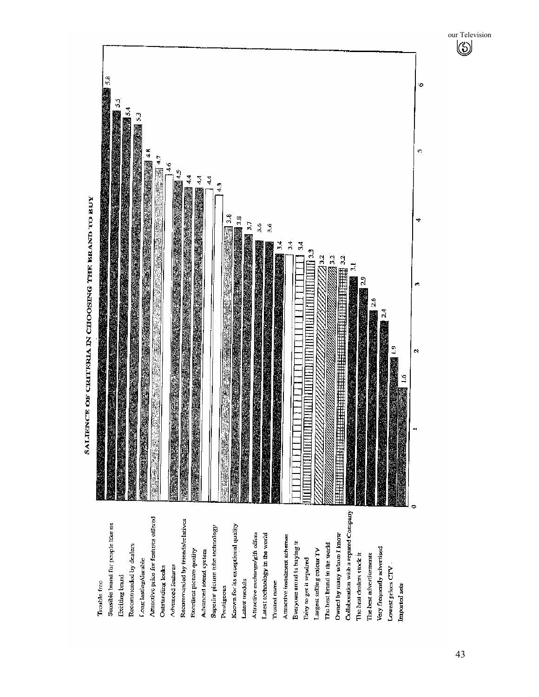

**SALENCE OF CRITERIA IN CHOOSING THE BRAND TO BUY** 

43

our Television  $\circledS$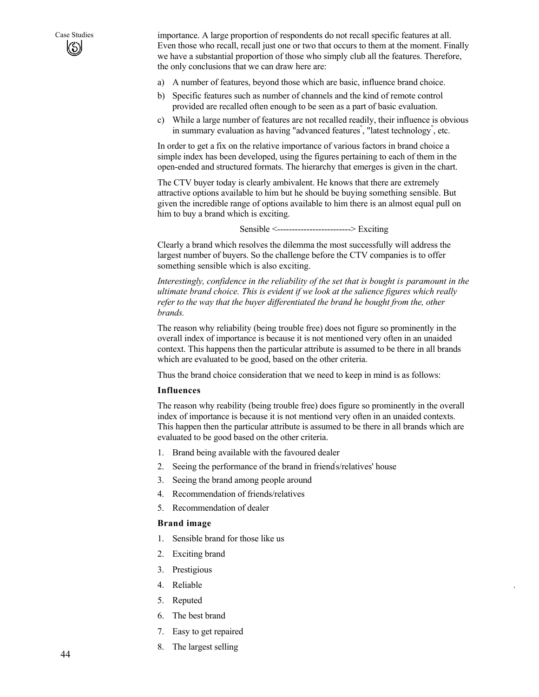Case Studies importance. A large proportion of respondents do not recall specific features at all. Even those who recall, recall just one or two that occurs to them at the moment. Finally we have a substantial proportion of those who simply club all the features. Therefore, the only conclusions that we can draw here are:

- a) A number of features, beyond those which are basic, influence brand choice.
- b) Specific features such as number of channels and the kind of remote control provided are recalled often enough to be seen as a part of basic evaluation.
- c) While a large number of features are not recalled readily, their influence is obvious in summary evaluation as having "advanced features" , "latest technology" , etc.

In order to get a fix on the relative importance of various factors in brand choice a simple index has been developed, using the figures pertaining to each of them in the open-ended and structured formats. The hierarchy that emerges is given in the chart.

The CTV buyer today is clearly ambivalent. He knows that there are extremely attractive options available to him but he should be buying something sensible. But given the incredible range of options available to him there is an almost equal pull on him to buy a brand which is exciting.

Sensible <-------------------------> Exciting

Clearly a brand which resolves the dilemma the most successfully will address the largest number of buyers. So the challenge before the CTV companies is to offer something sensible which is also exciting.

*Interestingly, confidence in the reliability of the set that is bought is paramount in the ultimate brand choice. This is evident if we look at the salience figures which really refer to the way that the buyer differentiated the brand he bought from the, other brands.* 

The reason why reliability (being trouble free) does not figure so prominently in the overall index of importance is because it is not mentioned very often in an unaided context. This happens then the particular attribute is assumed to be there in all brands which are evaluated to be good, based on the other criteria.

Thus the brand choice consideration that we need to keep in mind is as follows:

#### **Influences**

The reason why reability (being trouble free) does figure so prominently in the overall index of importance is because it is not mentiond very often in an unaided contexts. This happen then the particular attribute is assumed to be there in all brands which are evaluated to be good based on the other criteria.

4

- 1. Brand being available with the favoured dealer
- 2. Seeing the performance of the brand in friend' s/relatives' house
- 3. Seeing the brand among people around
- 4. Recommendation of friends/relatives
- 5. Recommendation of dealer

#### **Brand image**

- 1. Sensible brand for those like us
- 2. Exciting brand
- 3. Prestigious
- 4. Reliable
- 5. Reputed
- 6. The best brand
- 7. Easy to get repaired
- 8. The largest selling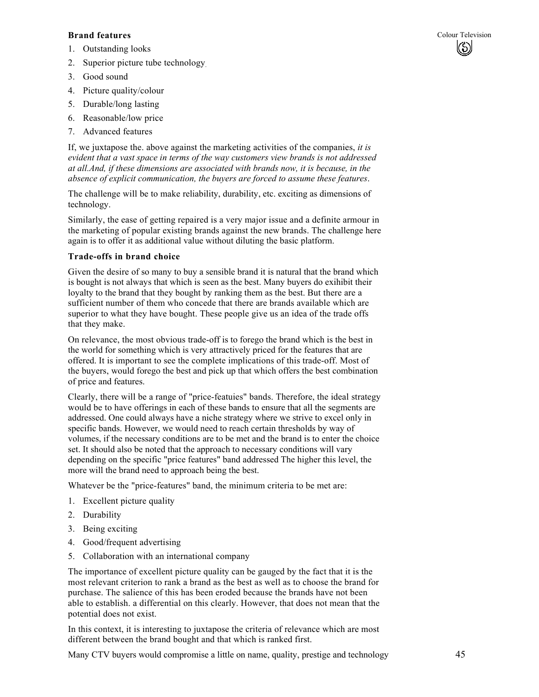#### **Brand features** Colour Television **Colour Television**

(ර්)

- 1. Outstanding looks
- 2. Superior picture tube technology.
- 3. Good sound
- 4. Picture quality/colour
- 5. Durable/long lasting
- 6. Reasonable/low price
- 7. Advanced features

If, we juxtapose the. above against the marketing activities of the companies, *it is evident that a vast space in terms of the way customers view brands is not addressed at all.And, if these dimensions are associated with brands now, it is because, in the absence of explicit communication, the buyers are forced to assume these features*.

The challenge will be to make reliability, durability, etc. exciting as dimensions of technology.

Similarly, the ease of getting repaired is a very major issue and a definite armour in the marketing of popular existing brands against the new brands. The challenge here again is to offer it as additional value without diluting the basic platform.

### **Trade-offs in brand choice**

Given the desire of so many to buy a sensible brand it is natural that the brand which is bought is not always that which is seen as the best. Many buyers do exihibit their loyalty to the brand that they bought by ranking them as the best. But there are a sufficient number of them who concede that there are brands available which are superior to what they have bought. These people give us an idea of the trade offs that they make.

On relevance, the most obvious trade-off is to forego the brand which is the best in the world for something which is very attractively priced for the features that are offered. It is important to see the complete implications of this trade-off. Most of the buyers, would forego the best and pick up that which offers the best combination of price and features.

Clearly, there will be a range of "price-featuies" bands. Therefore, the ideal strategy would be to have offerings in each of these bands to ensure that all the segments are addressed. One could always have a niche strategy where we strive to excel only in specific bands. However, we would need to reach certain thresholds by way of volumes, if the necessary conditions are to be met and the brand is to enter the choice set. It should also be noted that the approach to necessary conditions will vary depending on the specific "price features" band addressed The higher this level, the more will the brand need to approach being the best.

Whatever be the "price-features" band, the minimum criteria to be met are:

- 1. Excellent picture quality
- 2. Durability
- 3. Being exciting
- 4. Good/frequent advertising
- 5. Collaboration with an international company

The importance of excellent picture quality can be gauged by the fact that it is the most relevant criterion to rank a brand as the best as well as to choose the brand for purchase. The salience of this has been eroded because the brands have not been able to establish. a differential on this clearly. However, that does not mean that the potential does not exist.

In this context, it is interesting to juxtapose the criteria of relevance which are most different between the brand bought and that which is ranked first.

Many CTV buyers would compromise a little on name, quality, prestige and technology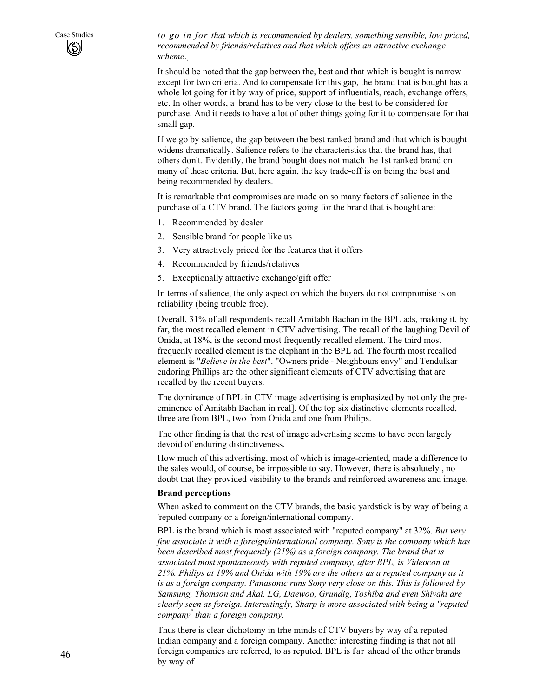Case Studies *to go in for that which is recommended by dealers, something sensible, low priced, recommended by friends/relatives and that which offers an attractive exchange scheme*.,

> It should be noted that the gap between the, best and that which is bought is narrow except for two criteria. And to compensate for this gap, the brand that is bought has a whole lot going for it by way of price, support of influentials, reach, exchange offers, etc. In other words, a brand has to be very close to the best to be considered for purchase. And it needs to have a lot of other things going for it to compensate for that small gap.

> If we go by salience, the gap between the best ranked brand and that which is bought widens dramatically. Salience refers to the characteristics that the brand has, that others don't. Evidently, the brand bought does not match the 1st ranked brand on many of these criteria. But, here again, the key trade-off is on being the best and being recommended by dealers.

It is remarkable that compromises are made on so many factors of salience in the purchase of a CTV brand. The factors going for the brand that is bought are:

- 1. Recommended by dealer
- 2. Sensible brand for people like us
- 3. Very attractively priced for the features that it offers
- 4. Recommended by friends/relatives
- 5. Exceptionally attractive exchange/gift offer

In terms of salience, the only aspect on which the buyers do not compromise is on reliability (being trouble free).

Overall, 31% of all respondents recall Amitabh Bachan in the BPL ads, making it, by far, the most recalled element in CTV advertising. The recall of the laughing Devil of Onida, at 18%, is the second most frequently recalled element. The third most frequenly recalled element is the elephant in the BPL ad. The fourth most recalled element is "*Believe in the best*". "Owners pride - Neighbours envy" and Tendulkar endoring Phillips are the other significant elements of CTV advertising that are recalled by the recent buyers.

The dominance of BPL in CTV image advertising is emphasized by not only the preeminence of Amitabh Bachan in real]. Of the top six distinctive elements recalled, three are from BPL, two from Onida and one from Philips.

The other finding is that the rest of image advertising seems to have been largely devoid of enduring distinctiveness.

How much of this advertising, most of which is image-oriented, made a difference to the sales would, of course, be impossible to say. However, there is absolutely , no doubt that they provided visibility to the brands and reinforced awareness and image.

#### **Brand perceptions**

When asked to comment on the CTV brands, the basic yardstick is by way of being a 'reputed company or a foreign/international company.

BPL is the brand which is most associated with "reputed company" at 32%. *But very few associate it with a foreign/international company. Sony is the company which has been described most frequently (21%) as a foreign company. The brand that is associated most spontaneously with reputed company, after BPL, is Videocon at 21%. Philips at 19% and Onida with 19% are the others as a reputed company as it is as a foreign company. Panasonic runs Sony very close on this. This is followed by Samsung, Thomson and Akai. LG, Daewoo, Grundig, Toshiba and even Shivaki are clearly seen as foreign. Interestingly, Sharp is more associated with being a "reputed company" than a foreign company.* 

Thus there is clear dichotomy in trhe minds of CTV buyers by way of a reputed Indian company and a foreign company. Another interesting finding is that not all foreign companies are referred, to as reputed, BPL is far ahead of the other brands by way of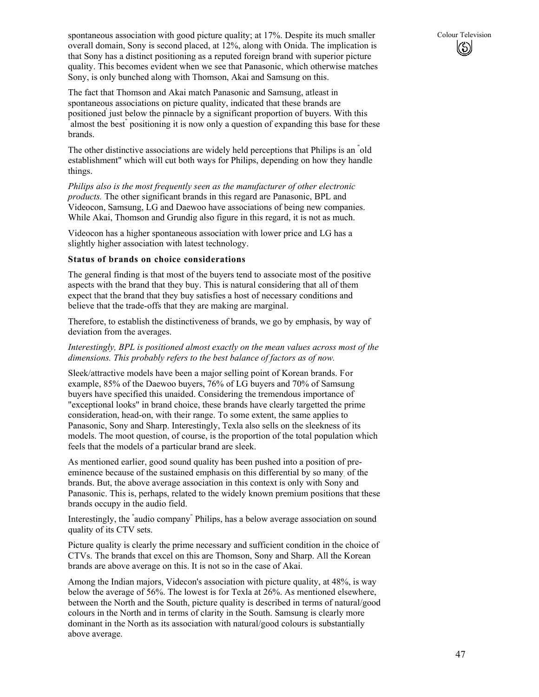spontaneous association with good picture quality; at 17%. Despite its much smaller Colour Television overall domain, Sony is second placed, at 12%, along with Onida. The implication is that Sony has a distinct positioning as a reputed foreign brand with superior picture quality. This becomes evident when we see that Panasonic, which otherwise matches Sony, is only bunched along with Thomson, Akai and Samsung on this.

The fact that Thomson and Akai match Panasonic and Samsung, atleast in spontaneous associations on picture quality, indicated that these brands are positioned' just below the pinnacle by a significant proportion of buyers. With this  $\frac{1}{2}$ almost the best" positioning it is now only a question of expanding this base for these brands.

The other distinctive associations are widely held perceptions that Philips is an " old establishment" which will cut both ways for Philips, depending on how they handle things.

*Philips also is the most frequently seen as the manufacturer of other electronic products.* The other significant brands in this regard are Panasonic, BPL and Videocon, Samsung, LG and Daewoo have associations of being new companies. While Akai, Thomson and Grundig also figure in this regard, it is not as much.

Videocon has a higher spontaneous association with lower price and LG has a slightly higher association with latest technology.

#### **Status of brands on choice considerations**

The general finding is that most of the buyers tend to associate most of the positive aspects with the brand that they buy. This is natural considering that all of them expect that the brand that they buy satisfies a host of necessary conditions and believe that the trade-offs that they are making are marginal.

Therefore, to establish the distinctiveness of brands, we go by emphasis, by way of deviation from the averages.

#### *Interestingly, BPL is positioned almost exactly on the mean values across most of the dimensions. This probably refers to the best balance of factors as of now.*

Sleek/attractive models have been a major selling point of Korean brands. For example, 85% of the Daewoo buyers, 76% of LG buyers and 70% of Samsung buyers have specified this unaided. Considering the tremendous importance of "exceptional looks" in brand choice, these brands have clearly targetted the prime consideration, head-on, with their range. To some extent, the same applies to Panasonic, Sony and Sharp. Interestingly, Texla also sells on the sleekness of its models. The moot question, of course, is the proportion of the total population which feels that the models of a particular brand are sleek.

As mentioned earlier, good sound quality has been pushed into a position of preeminence because of the sustained emphasis on this differential by so many. of the brands. But, the above average association in this context is only with Sony and Panasonic. This is, perhaps, related to the widely known premium positions that these brands occupy in the audio field.

Interestingly, the " audio company" Philips, has a below average association on sound quality of its CTV sets.

Picture quality is clearly the prime necessary and sufficient condition in the choice of CTVs. The brands that excel on this are Thomson, Sony and Sharp. All the Korean brands are above average on this. It is not so in the case of Akai.

Among the Indian majors, Videcon's association with picture quality, at 48%, is way below the average of 56%. The lowest is for Texla at 26%. As mentioned elsewhere, between the North and the South, picture quality is described in terms of natural/good colours in the North and in terms of clarity in the South. Samsung is clearly more dominant in the North as its association with natural/good colours is substantially above average.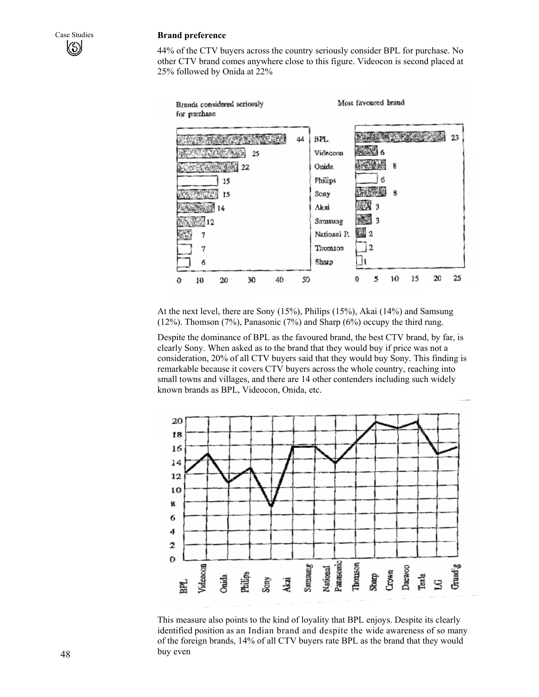#### Case Studies **Brand preference**

44% of the CTV buyers across the country seriously consider BPL for purchase. No other CTV brand comes anywhere close to this figure. Videocon is second placed at 25% followed by Onida at 22%



At the next level, there are Sony (15%), Philips (15%), Akai (14%) and Samsung (12%). Thomson (7%), Panasonic (7%) and Sharp (6%) occupy the third rung.

Despite the dominance of BPL as the favoured brand, the best CTV brand, by far, is clearly Sony. When asked as to the brand that they would buy if price was not a consideration, 20% of all CTV buyers said that they would buy Sony. This finding is remarkable because it covers CTV buyers across the whole country, reaching into small towns and villages, and there are 14 other contenders including such widely known brands as BPL, Videocon, Onida, etc.



This measure also points to the kind of loyality that BPL enjoys. Despite its clearly identified position as an Indian brand and despite the wide awareness of so many of the foreign brands, 14% of all CTV buyers rate BPL as the brand that they would buy even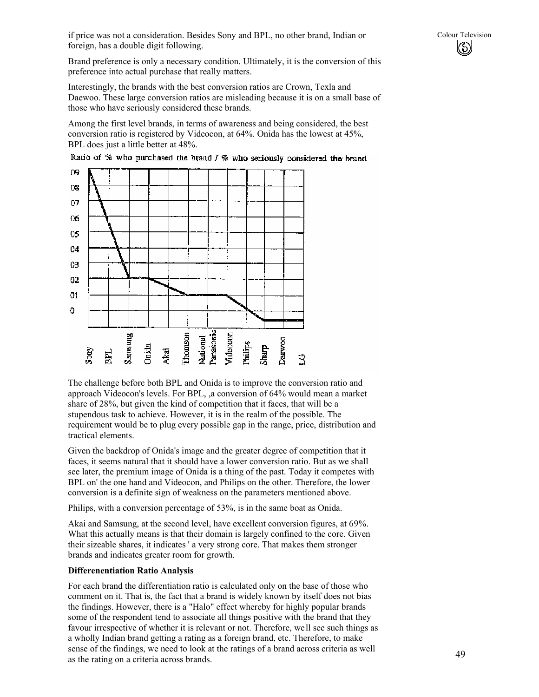if price was not a consideration. Besides Sony and BPL, no other brand, Indian or Colour Television foreign, has a double digit following.

Brand preference is only a necessary condition. Ultimately, it is the conversion of this preference into actual purchase that really matters.

Interestingly, the brands with the best conversion ratios are Crown, Texla and Daewoo. These large conversion ratios are misleading because it is on a small base of those who have seriously considered these brands.

Among the first level brands, in terms of awareness and being considered, the best conversion ratio is registered by Videocon, at 64%. Onida has the lowest at 45%, BPL does just a little better at 48%.



Ratio of % who purchased the brand / % who seriously considered the brand

The challenge before both BPL and Onida is to improve the conversion ratio and approach Videocon's levels. For BPL, ,a conversion of 64% would mean a market share of 28%, but given the kind of competition that it faces, that will be a stupendous task to achieve. However, it is in the realm of the possible. The requirement would be to plug every possible gap in the range, price, distribution and tractical elements.

Given the backdrop of Onida's image and the greater degree of competition that it faces, it seems natural that it should have a lower conversion ratio. But as we shall see later, the premium image of Onida is a thing of the past. Today it competes with BPL on' the one hand and Videocon, and Philips on the other. Therefore, the lower conversion is a definite sign of weakness on the parameters mentioned above.

Philips, with a conversion percentage of 53%, is in the same boat as Onida.

Akai and Samsung, at the second level, have excellent conversion figures, at 69%. What this actually means is that their domain is largely confined to the core. Given their sizeable shares, it indicates ' a very strong core. That makes them stronger brands and indicates greater room for growth.

#### **Differenentiation Ratio Analysis**

For each brand the differentiation ratio is calculated only on the base of those who comment on it. That is, the fact that a brand is widely known by itself does not bias the findings. However, there is a "Halo" effect whereby for highly popular brands some of the respondent tend to associate all things positive with the brand that they favour irrespective of whether it is relevant or not. Therefore, we' ll see such things as a wholly Indian brand getting a rating as a foreign brand, etc. Therefore, to make sense of the findings, we need to look at the ratings of a brand across criteria as well as the rating on a criteria across brands.

 $\left(\!\!\left\langle\!\cdot\!\right\rangle\!\right)$